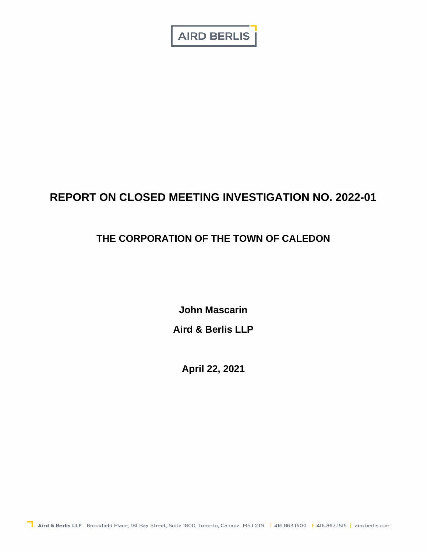**AIRD BERLIS** 

# **REPORT ON CLOSED MEETING INVESTIGATION NO. 2022-01**

# **THE CORPORATION OF THE TOWN OF CALEDON**

**John Mascarin Aird & Berlis LLP** 

**April 22, 2021**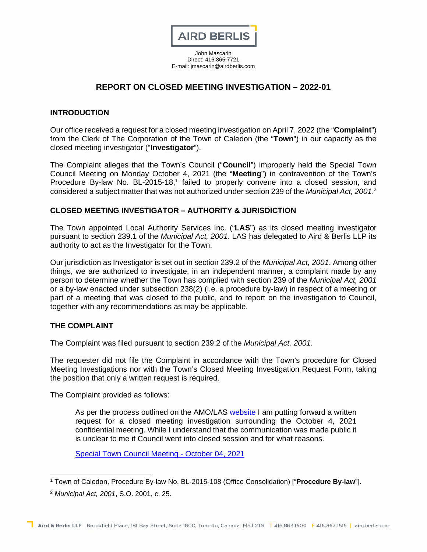

John Mascarin Direct: 416.865.7721 E-mail: jmascarin@airdberlis.com

# **REPORT ON CLOSED MEETING INVESTIGATION – 2022-01**

## **INTRODUCTION**

Our office received a request for a closed meeting investigation on April 7, 2022 (the "**Complaint**") from the Clerk of The Corporation of the Town of Caledon (the "**Town**") in our capacity as the closed meeting investigator ("**Investigator**").

The Complaint alleges that the Town's Council ("**Council**") improperly held the Special Town Council Meeting on Monday Octob[er](#page-1-0) 4, 2021 (the "**Meeting**") in contravention of the Town's Procedure By-law No. BL-2015-18,<sup>1</sup> faile[d](#page-1-1) to properly convene into a closed session, and considered a subject matter that was not authorized under section 239 of the *Municipal Act, 2001*. 2

#### **CLOSED MEETING INVESTIGATOR – AUTHORITY & JURISDICTION**

The Town appointed Local Authority Services Inc. ("**LAS**") as its closed meeting investigator pursuant to section 239.1 of the *Municipal Act, 2001*. LAS has delegated to Aird & Berlis LLP its authority to act as the Investigator for the Town.

Our jurisdiction as Investigator is set out in section 239.2 of the *Municipal Act, 2001*. Among other things, we are authorized to investigate, in an independent manner, a complaint made by any person to determine whether the Town has complied with section 239 of the *Municipal Act, 2001* or a by-law enacted under subsection 238(2) (i.e. a procedure by-law) in respect of a meeting or part of a meeting that was closed to the public, and to report on the investigation to Council, together with any recommendations as may be applicable.

#### **THE COMPLAINT**

The Complaint was filed pursuant to section 239.2 of the *Municipal Act, 2001*.

The requester did not file the Complaint in accordance with the Town's procedure for Closed Meeting Investigations nor with the Town's Closed Meeting Investigation Request Form, taking the position that only a written request is required.

The Complaint provided as follows:

As per the process outlined on the AMO/LAS [website](https://can01.safelinks.protection.outlook.com/?url=https%3A%2F%2Fwww.las.on.ca%2Fclosedmeeting&data=04%7C01%7Claura.hall%40caledon.ca%7C5bea24cecc6f42c670c808da086d5a80%7C394db583473a4ab1bcfa5ae82d987a71%7C1%7C0%7C637831563001040608%7CUnknown%7CTWFpbGZsb3d8eyJWIjoiMC4wLjAwMDAiLCJQIjoiV2luMzIiLCJBTiI6Ik1haWwiLCJXVCI6Mn0%3D%7C3000&sdata=i6P4qa84aXCmkdgTrhHxy8VG2tv6GmQWONKNf%2BcSoc8%3D&reserved=0) I am putting forward a written request for a closed meeting investigation surrounding the October 4, 2021 confidential meeting. While I understand that the communication was made public it is unclear to me if Council went into closed session and for what reasons.

[Special Town Council Meeting - October 04, 2021](https://can01.safelinks.protection.outlook.com/?url=https%3A%2F%2Fpub-caledon.escribemeetings.com%2FMeeting.aspx%3FId%3D609ba512-a295-46c0-a0d6-27bec5a977ca%26Agenda%3DPostAgenda%26lang%3DEnglish&data=04%7C01%7Claura.hall%40caledon.ca%7C5bea24cecc6f42c670c808da086d5a80%7C394db583473a4ab1bcfa5ae82d987a71%7C1%7C0%7C637831563001040608%7CUnknown%7CTWFpbGZsb3d8eyJWIjoiMC4wLjAwMDAiLCJQIjoiV2luMzIiLCJBTiI6Ik1haWwiLCJXVCI6Mn0%3D%7C3000&sdata=daZzgSwyM6QaJyLJnz4RNvc5SE7468aD9KpOQSsKMHo%3D&reserved=0)

<span id="page-1-0"></span><sup>1</sup> Town of Caledon, Procedure By-law No. BL-2015-108 (Office Consolidation) ["**Procedure By-law**"].

<span id="page-1-1"></span><sup>2</sup> *Municipal Act, 2001*, S.O. 2001, c. 25.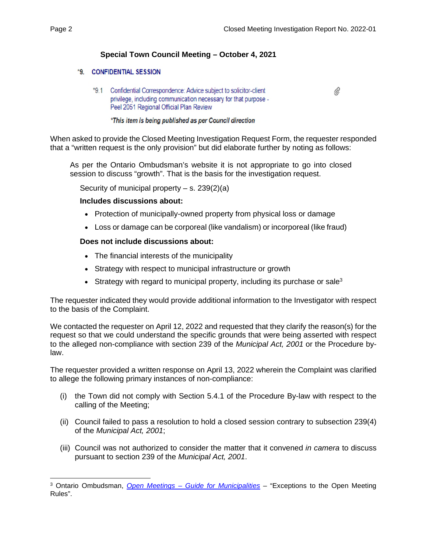# **Special Town Council Meeting – October 4, 2021**

## \*9. CONFIDENTIAL SESSION

\*9.1 Confidential Correspondence: Advice subject to solicitor-client privilege, including communication necessary for that purpose -Peel 2051 Regional Official Plan Review

O,

#### \*This item is being published as per Council direction

When asked to provide the Closed Meeting Investigation Request Form, the requester responded that a "written request is the only provision" but did elaborate further by noting as follows:

As per the Ontario Ombudsman's website it is not appropriate to go into closed session to discuss "growth". That is the basis for the investigation request.

Security of municipal property  $-$  s. 239(2)(a)

#### **Includes discussions about:**

- Protection of municipally-owned property from physical loss or damage
- Loss or damage can be corporeal (like vandalism) or incorporeal (like fraud)

## **Does not include discussions about:**

- The financial interests of the municipality
- Strategy with respect to municipal infrastructure or growth
- Strategy with regard to municipal property, including its purchase or sale<sup>[3](#page-2-0)</sup>

The requester indicated they would provide additional information to the Investigator with respect to the basis of the Complaint.

We contacted the requester on April 12, 2022 and requested that they clarify the reason(s) for the request so that we could understand the specific grounds that were being asserted with respect to the alleged non-compliance with section 239 of the *Municipal Act, 2001* or the Procedure bylaw.

The requester provided a written response on April 13, 2022 wherein the Complaint was clarified to allege the following primary instances of non-compliance:

- (i) the Town did not comply with Section 5.4.1 of the Procedure By-law with respect to the calling of the Meeting;
- (ii) Council failed to pass a resolution to hold a closed session contrary to subsection 239(4) of the *Municipal Act, 2001*;
- (iii) Council was not authorized to consider the matter that it convened *in camera* to discuss pursuant to section 239 of the *Municipal Act, 2001*.

<span id="page-2-0"></span><sup>3</sup> Ontario Ombudsman, *Open Meetings – Guide for Municipalities* – "Exceptions to the Open Meeting Rules".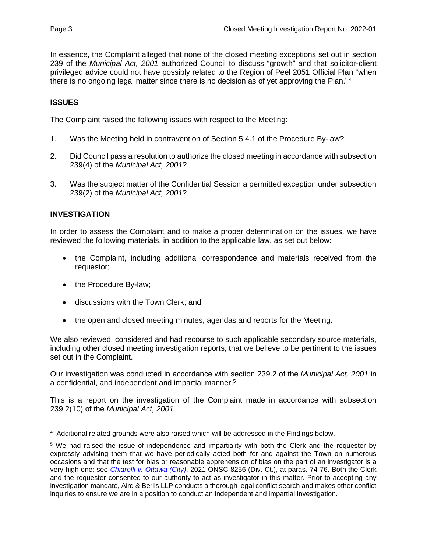In essence, the Complaint alleged that none of the closed meeting exceptions set out in section 239 of the *Municipal Act, 2001* authorized Council to discuss "growth" and that solicitor-client privileged advice could not have possibly related to the Region of Peel 2051 Official Pla[n](#page-3-0) "when there is no ongoing legal matter since there is no decision as of yet approving the Plan."<sup>4</sup>

# **ISSUES**

The Complaint raised the following issues with respect to the Meeting:

- 1. Was the Meeting held in contravention of Section 5.4.1 of the Procedure By-law?
- 2. Did Council pass a resolution to authorize the closed meeting in accordance with subsection 239(4) of the *Municipal Act, 2001*?
- 3. Was the subject matter of the Confidential Session a permitted exception under subsection 239(2) of the *Municipal Act, 2001*?

# **INVESTIGATION**

In order to assess the Complaint and to make a proper determination on the issues, we have reviewed the following materials, in addition to the applicable law, as set out below:

- the Complaint, including additional correspondence and materials received from the requestor;
- the Procedure By-law;
- discussions with the Town Clerk; and
- the open and closed meeting minutes, agendas and reports for the Meeting.

We also reviewed, considered and had recourse to such applicable secondary source materials, including other closed meeting investigation reports, that we believe to be pertinent to the issues set out in the Complaint.

Our investigation was conducted in accordance with [se](#page-3-1)ction 239.2 of the *Municipal Act, 2001* in a confidential, and independent and impartial manner.<sup>5</sup>

This is a report on the investigation of the Complaint made in accordance with subsection 239.2(10) of the *Municipal Act, 2001.* 

<span id="page-3-0"></span><sup>4</sup> Additional related grounds were also raised which will be addressed in the Findings below.

<span id="page-3-1"></span><sup>&</sup>lt;sup>5</sup> We had raised the issue of independence and impartiality with both the Clerk and the requester by expressly advising them that we have periodically acted both for and against the Town on numerous occasions and that the test for bias or reasonable apprehension of bias on the part of an investigator is a very high one: see *Chiarelli v. Ottawa (City)*, 2021 ONSC 8256 (Div. Ct.), at paras. 74-76. Both the Clerk and the requester consented to our authority to act as investigator in this matter. Prior to accepting any investigation mandate, Aird & Berlis LLP conducts a thorough legal conflict search and makes other conflict inquiries to ensure we are in a position to conduct an independent and impartial investigation.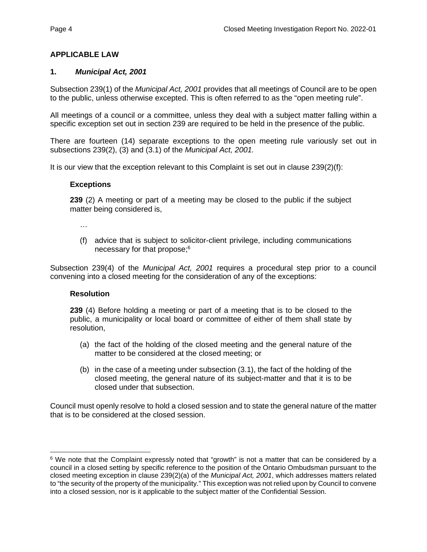# **APPLICABLE LAW**

## **1.** *Municipal Act, 2001*

Subsection 239(1) of the *Municipal Act, 2001* provides that all meetings of Council are to be open to the public, unless otherwise excepted. This is often referred to as the "open meeting rule".

All meetings of a council or a committee, unless they deal with a subject matter falling within a specific exception set out in section 239 are required to be held in the presence of the public.

There are fourteen (14) separate exceptions to the open meeting rule variously set out in subsections 239(2), (3) and (3.1) of the *Municipal Act, 2001.*

It is our view that the exception relevant to this Complaint is set out in clause 239(2)(f):

#### **Exceptions**

**239** (2) A meeting or part of a meeting may be closed to the public if the subject matter being considered is,

…

(f) advice that is subject to s[olic](#page-4-0)itor-client privilege, including communications necessary for that propose;<sup>6</sup>

Subsection 239(4) of the *Municipal Act, 2001* requires a procedural step prior to a council convening into a closed meeting for the consideration of any of the exceptions:

#### **Resolution**

**239** (4) Before holding a meeting or part of a meeting that is to be closed to the public, a municipality or local board or committee of either of them shall state by resolution,

- (a) the fact of the holding of the closed meeting and the general nature of the matter to be considered at the closed meeting; or
- (b) in the case of a meeting under subsection (3.1), the fact of the holding of the closed meeting, the general nature of its subject-matter and that it is to be closed under that subsection.

Council must openly resolve to hold a closed session and to state the general nature of the matter that is to be considered at the closed session.

<span id="page-4-0"></span><sup>&</sup>lt;sup>6</sup> We note that the Complaint expressly noted that "growth" is not a matter that can be considered by a council in a closed setting by specific reference to the position of the Ontario Ombudsman pursuant to the closed meeting exception in clause 239(2)(a) of the *Municipal Act, 2001*, which addresses matters related to "the security of the property of the municipality." This exception was not relied upon by Council to convene into a closed session, nor is it applicable to the subject matter of the Confidential Session.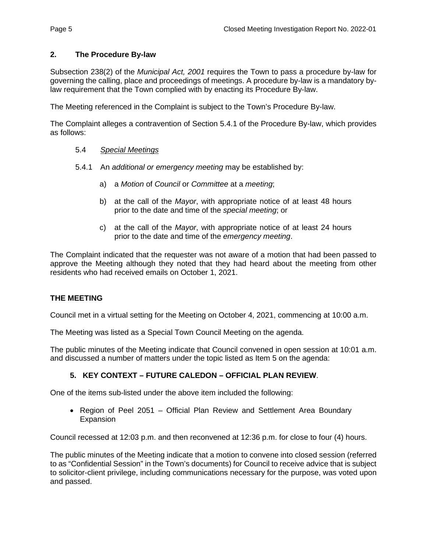# **2. The Procedure By-law**

Subsection 238(2) of the *Municipal Act, 2001* requires the Town to pass a procedure by-law for governing the calling, place and proceedings of meetings. A procedure by-law is a mandatory bylaw requirement that the Town complied with by enacting its Procedure By-law.

The Meeting referenced in the Complaint is subject to the Town's Procedure By-law.

The Complaint alleges a contravention of Section 5.4.1 of the Procedure By-law, which provides as follows:

## 5.4 *Special Meetings*

- 5.4.1 An *additional or emergency meeting* may be established by:
	- a) a *Motion* of *Council* or *Committee* at a *meeting*;
	- b) at the call of the *Mayor*, with appropriate notice of at least 48 hours prior to the date and time of the *special meeting*; or
	- c) at the call of the *Mayor*, with appropriate notice of at least 24 hours prior to the date and time of the *emergency meeting*.

The Complaint indicated that the requester was not aware of a motion that had been passed to approve the Meeting although they noted that they had heard about the meeting from other residents who had received emails on October 1, 2021.

## **THE MEETING**

Council met in a virtual setting for the Meeting on October 4, 2021, commencing at 10:00 a.m.

The Meeting was listed as a Special Town Council Meeting on the agenda.

The public minutes of the Meeting indicate that Council convened in open session at 10:01 a.m. and discussed a number of matters under the topic listed as Item 5 on the agenda:

# **5. KEY CONTEXT – FUTURE CALEDON – OFFICIAL PLAN REVIEW**.

One of the items sub-listed under the above item included the following:

 Region of Peel 2051 – Official Plan Review and Settlement Area Boundary **Expansion** 

Council recessed at 12:03 p.m. and then reconvened at 12:36 p.m. for close to four (4) hours.

The public minutes of the Meeting indicate that a motion to convene into closed session (referred to as "Confidential Session" in the Town's documents) for Council to receive advice that is subject to solicitor-client privilege, including communications necessary for the purpose, was voted upon and passed.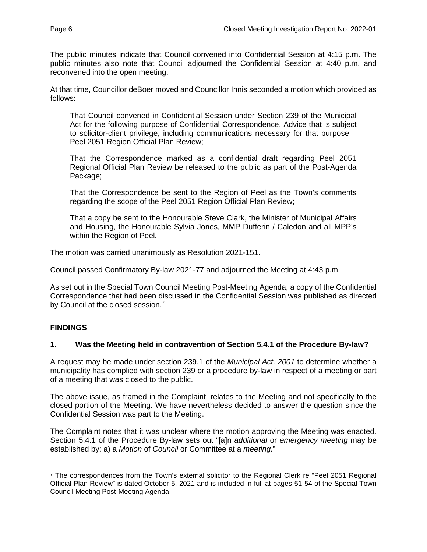The public minutes indicate that Council convened into Confidential Session at 4:15 p.m. The public minutes also note that Council adjourned the Confidential Session at 4:40 p.m. and reconvened into the open meeting.

At that time, Councillor deBoer moved and Councillor Innis seconded a motion which provided as follows:

That Council convened in Confidential Session under Section 239 of the Municipal Act for the following purpose of Confidential Correspondence, Advice that is subject to solicitor-client privilege, including communications necessary for that purpose – Peel 2051 Region Official Plan Review;

That the Correspondence marked as a confidential draft regarding Peel 2051 Regional Official Plan Review be released to the public as part of the Post-Agenda Package;

That the Correspondence be sent to the Region of Peel as the Town's comments regarding the scope of the Peel 2051 Region Official Plan Review;

That a copy be sent to the Honourable Steve Clark, the Minister of Municipal Affairs and Housing, the Honourable Sylvia Jones, MMP Dufferin / Caledon and all MPP's within the Region of Peel.

The motion was carried unanimously as Resolution 2021-151.

Council passed Confirmatory By-law 2021-77 and adjourned the Meeting at 4:43 p.m.

As set out in the Special Town Council Meeting Post-Meeting Agenda, a copy of the Confidential Correspondence that had been [dis](#page-6-0)cussed in the Confidential Session was published as directed by Council at the closed session.<sup>7</sup>

## **FINDINGS**

## **1. Was the Meeting held in contravention of Section 5.4.1 of the Procedure By-law?**

A request may be made under section 239.1 of the *Municipal Act, 2001* to determine whether a municipality has complied with section 239 or a procedure by-law in respect of a meeting or part of a meeting that was closed to the public.

The above issue, as framed in the Complaint, relates to the Meeting and not specifically to the closed portion of the Meeting. We have nevertheless decided to answer the question since the Confidential Session was part to the Meeting.

The Complaint notes that it was unclear where the motion approving the Meeting was enacted. Section 5.4.1 of the Procedure By-law sets out "[a]n *additional* or *emergency meeting* may be established by: a) a *Motion* of *Council* or Committee at a *meeting*."

<span id="page-6-0"></span><sup>&</sup>lt;sup>7</sup> The correspondences from the Town's external solicitor to the Regional Clerk re "Peel 2051 Regional Official Plan Review" is dated October 5, 2021 and is included in full at pages 51-54 of the Special Town Council Meeting Post-Meeting Agenda.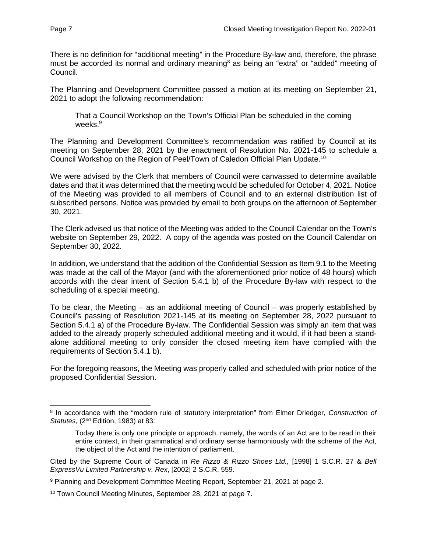There is no definition for "additional meeting" in the [Pr](#page-7-0)ocedure By-law and, therefore, the phrase must be accorded its normal and ordinary meaning<sup>8</sup> as being an "extra" or "added" meeting of Council.

The Planning and Development Committee passed a motion at its meeting on September 21, 2021 to adopt the following recommendation:

That a [C](#page-7-1)ouncil Workshop on the Town's Official Plan be scheduled in the coming weeks.<sup>9</sup>

The Planning and Development Committee's recommendation was ratified by Council at its meeting on September 28, 2021 by the enactment of Resolution No. 2021-145 to schedule a Council Workshop on the Region of Peel/Town of Caledon Official Plan Update.[10](#page-7-2)

We were advised by the Clerk that members of Council were canvassed to determine available dates and that it was determined that the meeting would be scheduled for October 4, 2021. Notice of the Meeting was provided to all members of Council and to an external distribution list of subscribed persons. Notice was provided by email to both groups on the afternoon of September 30, 2021.

The Clerk advised us that notice of the Meeting was added to the Council Calendar on the Town's website on September 29, 2022. A copy of the agenda was posted on the Council Calendar on September 30, 2022.

In addition, we understand that the addition of the Confidential Session as Item 9.1 to the Meeting was made at the call of the Mayor (and with the aforementioned prior notice of 48 hours) which accords with the clear intent of Section 5.4.1 b) of the Procedure By-law with respect to the scheduling of a special meeting.

To be clear, the Meeting – as an additional meeting of Council – was properly established by Council's passing of Resolution 2021-145 at its meeting on September 28, 2022 pursuant to Section 5.4.1 a) of the Procedure By-law. The Confidential Session was simply an item that was added to the already properly scheduled additional meeting and it would, if it had been a standalone additional meeting to only consider the closed meeting item have complied with the requirements of Section 5.4.1 b).

For the foregoing reasons, the Meeting was properly called and scheduled with prior notice of the proposed Confidential Session.

<span id="page-7-0"></span><sup>8</sup> In accordance with the "modern rule of statutory interpretation" from Elmer Driedger, *Construction of Statutes*, (2nd Edition, 1983) at 83:

Today there is only one principle or approach, namely, the words of an Act are to be read in their entire context, in their grammatical and ordinary sense harmoniously with the scheme of the Act, the object of the Act and the intention of parliament.

Cited by the Supreme Court of Canada in *Re Rizzo & Rizzo Shoes Ltd.,* [1998] 1 S.C.R. 27 & *Bell ExpressVu Limited Partnership v. Rex*, [2002] 2 S.C.R. 559.

<span id="page-7-1"></span><sup>&</sup>lt;sup>9</sup> Planning and Development Committee Meeting Report, September 21, 2021 at page 2.

<span id="page-7-2"></span><sup>10</sup> Town Council Meeting Minutes, September 28, 2021 at page 7.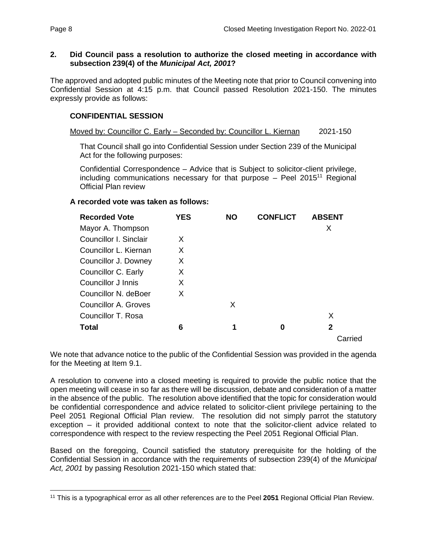## **2. Did Council pass a resolution to authorize the closed meeting in accordance with subsection 239(4) of the** *Municipal Act, 2001***?**

The approved and adopted public minutes of the Meeting note that prior to Council convening into Confidential Session at 4:15 p.m. that Council passed Resolution 2021-150. The minutes expressly provide as follows:

# **CONFIDENTIAL SESSION**

Moved by: Councillor C. Early – Seconded by: Councillor L. Kiernan 2021-150

That Council shall go into Confidential Session under Section 239 of the Municipal Act for the following purposes:

Confidential Correspondence – Advice that is Subject to solicitor-clie[nt](#page-8-0) privilege, including communications necessary for that purpose  $-$  Peel 2015<sup>11</sup> Regional Official Plan review

## **A recorded vote was taken as follows:**

| <b>Recorded Vote</b>   | <b>YES</b> | <b>NO</b> | <b>CONFLICT</b> | <b>ABSENT</b> |
|------------------------|------------|-----------|-----------------|---------------|
| Mayor A. Thompson      |            |           |                 | X             |
| Councillor I. Sinclair | X          |           |                 |               |
| Councillor L. Kiernan  | X          |           |                 |               |
| Councillor J. Downey   | X          |           |                 |               |
| Councillor C. Early    | X          |           |                 |               |
| Councillor J Innis     | X          |           |                 |               |
| Councillor N. deBoer   | X          |           |                 |               |
| Councillor A. Groves   |            | X         |                 |               |
| Councillor T. Rosa     |            |           |                 | Х             |
| <b>Total</b>           | 6          | 1         | 0               | 2             |
|                        |            |           |                 | Carried       |

We note that advance notice to the public of the Confidential Session was provided in the agenda for the Meeting at Item 9.1.

A resolution to convene into a closed meeting is required to provide the public notice that the open meeting will cease in so far as there will be discussion, debate and consideration of a matter in the absence of the public. The resolution above identified that the topic for consideration would be confidential correspondence and advice related to solicitor-client privilege pertaining to the Peel 2051 Regional Official Plan review. The resolution did not simply parrot the statutory exception – it provided additional context to note that the solicitor-client advice related to correspondence with respect to the review respecting the Peel 2051 Regional Official Plan.

Based on the foregoing, Council satisfied the statutory prerequisite for the holding of the Confidential Session in accordance with the requirements of subsection 239(4) of the *Municipal Act, 2001* by passing Resolution 2021-150 which stated that:

<span id="page-8-0"></span><sup>11</sup> This is a typographical error as all other references are to the Peel **2051** Regional Official Plan Review.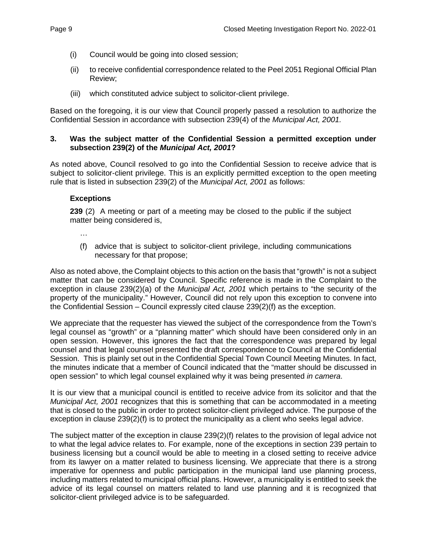- (i) Council would be going into closed session;
- (ii) to receive confidential correspondence related to the Peel 2051 Regional Official Plan Review;
- (iii) which constituted advice subject to solicitor-client privilege.

Based on the foregoing, it is our view that Council properly passed a resolution to authorize the Confidential Session in accordance with subsection 239(4) of the *Municipal Act, 2001.* 

## **3. Was the subject matter of the Confidential Session a permitted exception under subsection 239(2) of the** *Municipal Act, 2001***?**

As noted above, Council resolved to go into the Confidential Session to receive advice that is subiect to solicitor-client privilege. This is an explicitly permitted exception to the open meeting rule that is listed in subsection 239(2) of the *Municipal Act, 2001* as follows:

# **Exceptions**

**239** (2) A meeting or part of a meeting may be closed to the public if the subject matter being considered is,

…

(f) advice that is subject to solicitor-client privilege, including communications necessary for that propose;

Also as noted above, the Complaint objects to this action on the basis that "growth" is not a subject matter that can be considered by Council. Specific reference is made in the Complaint to the exception in clause 239(2)(a) of the *Municipal Act, 2001* which pertains to "the security of the property of the municipality." However, Council did not rely upon this exception to convene into the Confidential Session – Council expressly cited clause 239(2)(f) as the exception.

We appreciate that the requester has viewed the subject of the correspondence from the Town's legal counsel as "growth" or a "planning matter" which should have been considered only in an open session. However, this ignores the fact that the correspondence was prepared by legal counsel and that legal counsel presented the draft correspondence to Council at the Confidential Session. This is plainly set out in the Confidential Special Town Council Meeting Minutes. In fact, the minutes indicate that a member of Council indicated that the "matter should be discussed in open session" to which legal counsel explained why it was being presented *in camera*.

It is our view that a municipal council is entitled to receive advice from its solicitor and that the *Municipal Act, 2001* recognizes that this is something that can be accommodated in a meeting that is closed to the public in order to protect solicitor-client privileged advice. The purpose of the exception in clause 239(2)(f) is to protect the municipality as a client who seeks legal advice.

The subject matter of the exception in clause 239(2)(f) relates to the provision of legal advice not to what the legal advice relates to. For example, none of the exceptions in section 239 pertain to business licensing but a council would be able to meeting in a closed setting to receive advice from its lawyer on a matter related to business licensing. We appreciate that there is a strong imperative for openness and public participation in the municipal land use planning process, including matters related to municipal official plans. However, a municipality is entitled to seek the advice of its legal counsel on matters related to land use planning and it is recognized that solicitor-client privileged advice is to be safeguarded.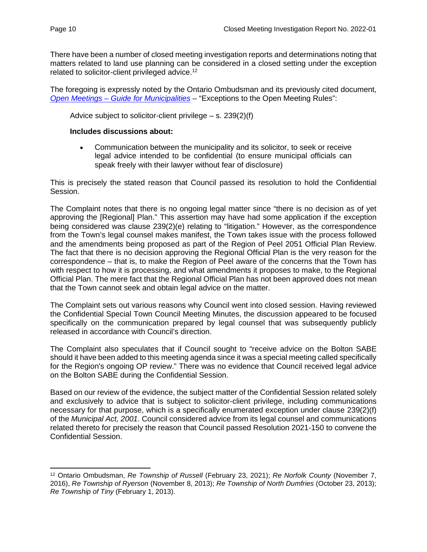There have been a number of closed meeting investigation reports and determinations noting that matters related to land use planning can be considered in a closed setting under the exception related to solicitor-client privileged advice.<sup>[12](#page-10-0)</sup>

The foregoing is expressly noted by the Ontario Ombudsman and its previously cited document, *[Open Meetings – Guide for Municipalities](https://www.ombudsman.on.ca/have-a-complaint/who-we-oversee/municipalities/municipal-closed-meetings/open-meetings-guide-for-municipalities#Exceptions%20to%20the%20open%20meeting%20rules)* – "Exceptions to the Open Meeting Rules":

Advice subject to solicitor-client privilege  $-$  s. 239(2)(f)

## **Includes discussions about:**

 Communication between the municipality and its solicitor, to seek or receive legal advice intended to be confidential (to ensure municipal officials can speak freely with their lawyer without fear of disclosure)

This is precisely the stated reason that Council passed its resolution to hold the Confidential Session.

The Complaint notes that there is no ongoing legal matter since "there is no decision as of yet approving the [Regional] Plan." This assertion may have had some application if the exception being considered was clause 239(2)(e) relating to "litigation." However, as the correspondence from the Town's legal counsel makes manifest, the Town takes issue with the process followed and the amendments being proposed as part of the Region of Peel 2051 Official Plan Review. The fact that there is no decision approving the Regional Official Plan is the very reason for the correspondence – that is, to make the Region of Peel aware of the concerns that the Town has with respect to how it is processing, and what amendments it proposes to make, to the Regional Official Plan. The mere fact that the Regional Official Plan has not been approved does not mean that the Town cannot seek and obtain legal advice on the matter.

The Complaint sets out various reasons why Council went into closed session. Having reviewed the Confidential Special Town Council Meeting Minutes, the discussion appeared to be focused specifically on the communication prepared by legal counsel that was subsequently publicly released in accordance with Council's direction.

The Complaint also speculates that if Council sought to "receive advice on the Bolton SABE should it have been added to this meeting agenda since it was a special meeting called specifically for the Region's ongoing OP review." There was no evidence that Council received legal advice on the Bolton SABE during the Confidential Session.

Based on our review of the evidence, the subject matter of the Confidential Session related solely and exclusively to advice that is subject to solicitor-client privilege, including communications necessary for that purpose, which is a specifically enumerated exception under clause 239(2)(f) of the *Municipal Act, 2001*. Council considered advice from its legal counsel and communications related thereto for precisely the reason that Council passed Resolution 2021-150 to convene the Confidential Session.

<span id="page-10-0"></span><sup>12</sup> Ontario Ombudsman, *Re Township of Russell* (February 23, 2021); *Re Norfolk County* (November 7, 2016), *Re Township of Ryerson* (November 8, 2013); *Re Township of North Dumfries* (October 23, 2013); *Re Township of Tiny* (February 1, 2013).